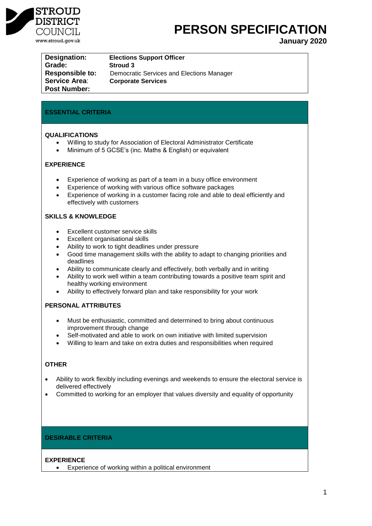

# **PERSON SPECIFICATION**

**January 2020**

**Grade: Stroud 3 Service Area**: **Corporate Services Post Number:**

**Designation: Elections Support Officer Responsible to:** Democratic Services and Elections Manager

# **ESSENTIAL CRITERIA**

## **QUALIFICATIONS**

- Willing to study for Association of Electoral Administrator Certificate
- Minimum of 5 GCSE's (inc. Maths & English) or equivalent

# **EXPERIENCE**

- Experience of working as part of a team in a busy office environment
- Experience of working with various office software packages
- Experience of working in a customer facing role and able to deal efficiently and effectively with customers

# **SKILLS & KNOWLEDGE**

- Excellent customer service skills
- Excellent organisational skills
- Ability to work to tight deadlines under pressure
- Good time management skills with the ability to adapt to changing priorities and deadlines
- Ability to communicate clearly and effectively, both verbally and in writing
- Ability to work well within a team contributing towards a positive team spirit and healthy working environment
- Ability to effectively forward plan and take responsibility for your work

# **PERSONAL ATTRIBUTES**

- Must be enthusiastic, committed and determined to bring about continuous improvement through change
- Self-motivated and able to work on own initiative with limited supervision
- Willing to learn and take on extra duties and responsibilities when required

# **OTHER**

- Ability to work flexibly including evenings and weekends to ensure the electoral service is delivered effectively
- Committed to working for an employer that values diversity and equality of opportunity

# **DESIRABLE CRITERIA**

#### **EXPERIENCE**

Experience of working within a political environment